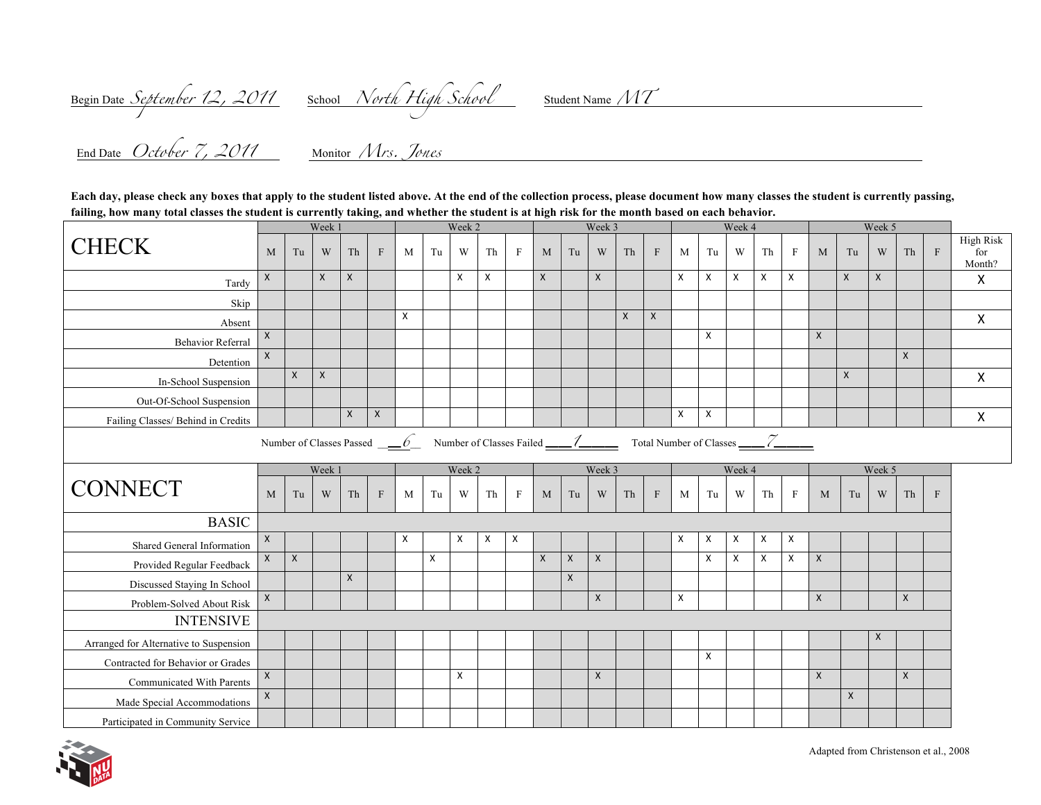Begin Date *September 12, 2011* School *North High School* Student Name *MT* 

 $\frac{1}{2}$ End Date *October 7, 2011* Monitor *Mrs. Jones* 

**Each day, please check any boxes that apply to the student listed above. At the end of the collection process, please document how many classes the student is currently passing, failing, how many total classes the student is currently taking, and whether the student is at high risk for the month based on each behavior.**

|                                                                                                                             | Week 1       |                |              |              | Week 2       |        |                     |                           | Week 3 |                           |              |                    | Week 4       |              |              |   | Week 5              |                           |                |                |              |              |   |              |         |                                   |
|-----------------------------------------------------------------------------------------------------------------------------|--------------|----------------|--------------|--------------|--------------|--------|---------------------|---------------------------|--------|---------------------------|--------------|--------------------|--------------|--------------|--------------|---|---------------------|---------------------------|----------------|----------------|--------------|--------------|---|--------------|---------|-----------------------------------|
| <b>CHECK</b>                                                                                                                | M            | Tu             | W            | Th           | F            | M      | $\operatorname{Tu}$ | W                         | Th     | $\mathbf{F}$              | M            | Tu                 | W            | Th           | $\mathbf{F}$ | M | $\operatorname{Tu}$ | W                         | Th             | $\mathbf{F}$   | M            | Tu           | W | Th           | $\rm F$ | <b>High Risk</b><br>for<br>Month? |
| Tardy                                                                                                                       | X            |                | $\mathsf{X}$ | $\mathsf{X}$ |              |        |                     | $\boldsymbol{\mathsf{X}}$ | X      |                           | $\mathsf{X}$ |                    | X            |              |              | X | X                   | $\boldsymbol{\mathsf{X}}$ | X              | X              |              | X            | X |              |         | $\mathsf{X}$                      |
| Skip                                                                                                                        |              |                |              |              |              |        |                     |                           |        |                           |              |                    |              |              |              |   |                     |                           |                |                |              |              |   |              |         |                                   |
| Absent                                                                                                                      |              |                |              |              |              | X      |                     |                           |        |                           |              |                    |              | $\mathsf{x}$ | $\mathsf{X}$ |   |                     |                           |                |                |              |              |   |              |         | $\mathsf{X}$                      |
| Behavior Referral                                                                                                           | X            |                |              |              |              |        |                     |                           |        |                           |              |                    |              |              |              |   | X                   |                           |                |                | X            |              |   |              |         |                                   |
| Detention                                                                                                                   | $\mathsf{X}$ |                |              |              |              |        |                     |                           |        |                           |              |                    |              |              |              |   |                     |                           |                |                |              |              |   | $\mathsf{X}$ |         |                                   |
| In-School Suspension                                                                                                        |              | $\mathsf{X}$   | $\mathsf{x}$ |              |              |        |                     |                           |        |                           |              |                    |              |              |              |   |                     |                           |                |                |              | $\mathsf{x}$ |   |              |         | $\mathsf{X}$                      |
| Out-Of-School Suspension                                                                                                    |              |                |              |              |              |        |                     |                           |        |                           |              |                    |              |              |              |   |                     |                           |                |                |              |              |   |              |         |                                   |
| Failing Classes/ Behind in Credits                                                                                          |              |                |              | $\mathsf{X}$ | $\mathsf{X}$ |        |                     |                           |        |                           |              |                    |              |              |              | X | X                   |                           |                |                |              |              |   |              |         | $\boldsymbol{\mathsf{X}}$         |
| Number of Classes Passed $\underline{\hspace{1cm}}\underline{\hspace{1cm}}\underline{\hspace{1cm}}\underline{\hspace{1cm}}$ |              |                |              |              |              |        |                     |                           |        |                           |              |                    |              |              |              |   |                     |                           |                |                |              |              |   |              |         |                                   |
|                                                                                                                             | Week 1       |                |              |              |              | Week 2 |                     |                           |        | Week 3                    |              |                    |              | Week 4       |              |   |                     |                           |                | Week 5         |              |              |   |              |         |                                   |
| <b>CONNECT</b>                                                                                                              | M            | Tu             | W            | Th           | $\rm F$      | M      | Tu                  | W                         | Th     | $\mathbf{F}$              | M            | Tu                 | W            | Th           | $\mathbf{F}$ | M | Tu                  | W                         | Th             | $\,$ F         | M            | Tu           | W | Th           | $\,$ F  |                                   |
| <b>BASIC</b>                                                                                                                |              |                |              |              |              |        |                     |                           |        |                           |              |                    |              |              |              |   |                     |                           |                |                |              |              |   |              |         |                                   |
| Shared General Information                                                                                                  | $\mathsf{X}$ |                |              |              |              | Χ      |                     | X                         | X      | $\boldsymbol{\mathsf{X}}$ |              |                    |              |              |              | X | X                   | $\boldsymbol{\mathsf{X}}$ | X              | $\pmb{\times}$ |              |              |   |              |         |                                   |
| Provided Regular Feedback                                                                                                   | $\mathsf{x}$ | $\pmb{\times}$ |              |              |              |        | $\mathsf{X}$        |                           |        |                           | $\mathsf{X}$ | $\pmb{\mathsf{X}}$ | $\mathsf{X}$ |              |              |   | X                   | $\boldsymbol{\mathsf{X}}$ | $\pmb{\times}$ | X              | $\mathsf{X}$ |              |   |              |         |                                   |
| Discussed Staying In School                                                                                                 |              |                |              | $\mathsf{x}$ |              |        |                     |                           |        |                           |              | $\mathsf X$        |              |              |              |   |                     |                           |                |                |              |              |   |              |         |                                   |
| Problem-Solved About Risk                                                                                                   | X            |                |              |              |              |        |                     |                           |        |                           |              |                    | X            |              |              | X |                     |                           |                |                | $\mathsf{X}$ |              |   | $\mathsf{X}$ |         |                                   |
| <b>INTENSIVE</b>                                                                                                            |              |                |              |              |              |        |                     |                           |        |                           |              |                    |              |              |              |   |                     |                           |                |                |              |              |   |              |         |                                   |
| Arranged for Alternative to Suspension                                                                                      |              |                |              |              |              |        |                     |                           |        |                           |              |                    |              |              |              |   |                     |                           |                |                |              |              | X |              |         |                                   |
| Contracted for Behavior or Grades                                                                                           |              |                |              |              |              |        |                     |                           |        |                           |              |                    |              |              |              |   | X                   |                           |                |                |              |              |   |              |         |                                   |
| Communicated With Parents                                                                                                   | $\mathsf{X}$ |                |              |              |              |        |                     | $\mathsf{x}$              |        |                           |              |                    | $\mathsf{x}$ |              |              |   |                     |                           |                |                | $\mathsf{X}$ |              |   | $\mathsf{X}$ |         |                                   |
| Made Special Accommodations                                                                                                 | $\mathsf{X}$ |                |              |              |              |        |                     |                           |        |                           |              |                    |              |              |              |   |                     |                           |                |                |              | $\mathsf{X}$ |   |              |         |                                   |
| Participated in Community Service                                                                                           |              |                |              |              |              |        |                     |                           |        |                           |              |                    |              |              |              |   |                     |                           |                |                |              |              |   |              |         |                                   |

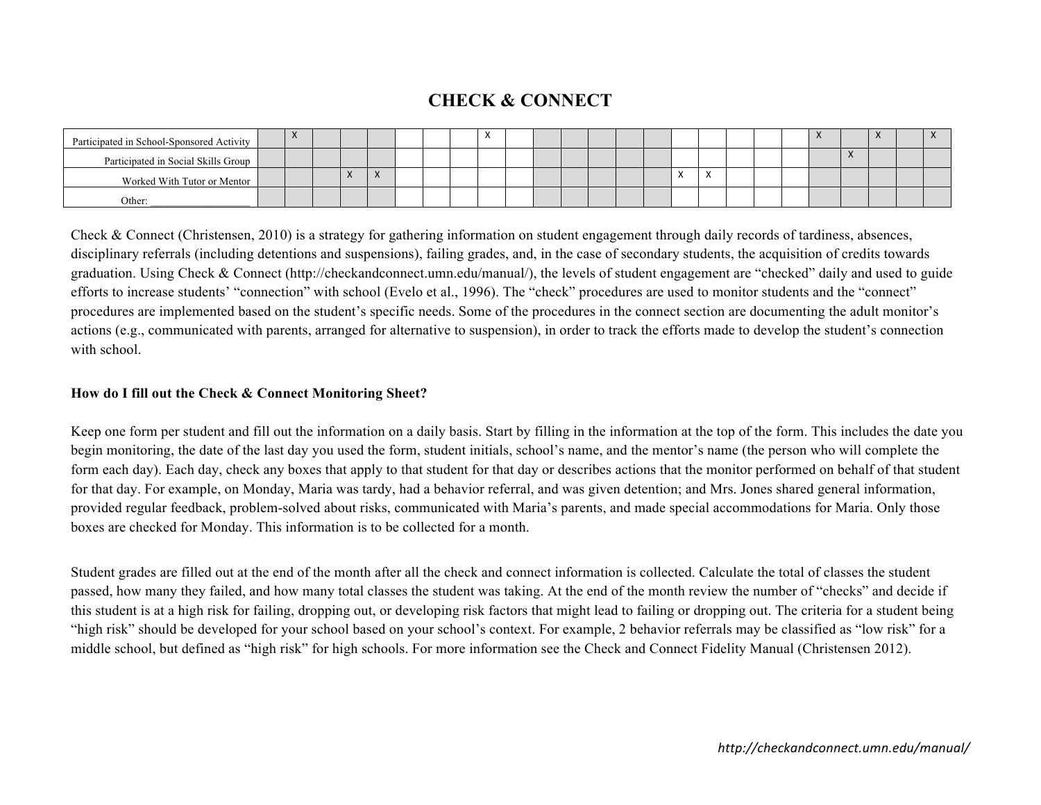# **CHECK & CONNECT**

| Participated in School-Sponsored Activity | $\lambda$ |            |           |  |  |  |  |  |          |                                       |  | $\lambda$ |           | $\lambda$ |  |
|-------------------------------------------|-----------|------------|-----------|--|--|--|--|--|----------|---------------------------------------|--|-----------|-----------|-----------|--|
| Participated in Social Skills Group       |           |            |           |  |  |  |  |  |          |                                       |  |           | $\lambda$ |           |  |
| Worked With Tutor or Mentor               |           | $\sqrt{ }$ | $\lambda$ |  |  |  |  |  | $\cdots$ | $\overline{\phantom{a}}$<br>$\Lambda$ |  |           |           |           |  |
| Other:                                    |           |            |           |  |  |  |  |  |          |                                       |  |           |           |           |  |

Check & Connect (Christensen, 2010) is a strategy for gathering information on student engagement through daily records of tardiness, absences, disciplinary referrals (including detentions and suspensions), failing grades, and, in the case of secondary students, the acquisition of credits towards graduation. Using Check & Connect (http://checkandconnect.umn.edu/manual/), the levels of student engagement are "checked" daily and used to guide efforts to increase students' "connection" with school (Evelo et al., 1996). The "check" procedures are used to monitor students and the "connect" procedures are implemented based on the student's specific needs. Some of the procedures in the connect section are documenting the adult monitor's actions (e.g., communicated with parents, arranged for alternative to suspension), in order to track the efforts made to develop the student's connection with school.

#### **How do I fill out the Check & Connect Monitoring Sheet?**

Keep one form per student and fill out the information on a daily basis. Start by filling in the information at the top of the form. This includes the date you begin monitoring, the date of the last day you used the form, student initials, school's name, and the mentor's name (the person who will complete the form each day). Each day, check any boxes that apply to that student for that day or describes actions that the monitor performed on behalf of that student for that day. For example, on Monday, Maria was tardy, had a behavior referral, and was given detention; and Mrs. Jones shared general information, provided regular feedback, problem-solved about risks, communicated with Maria's parents, and made special accommodations for Maria. Only those boxes are checked for Monday. This information is to be collected for a month.

Student grades are filled out at the end of the month after all the check and connect information is collected. Calculate the total of classes the student passed, how many they failed, and how many total classes the student was taking. At the end of the month review the number of "checks" and decide if this student is at a high risk for failing, dropping out, or developing risk factors that might lead to failing or dropping out. The criteria for a student being "high risk" should be developed for your school based on your school's context. For example, 2 behavior referrals may be classified as "low risk" for a middle school, but defined as "high risk" for high schools. For more information see the Check and Connect Fidelity Manual (Christensen 2012).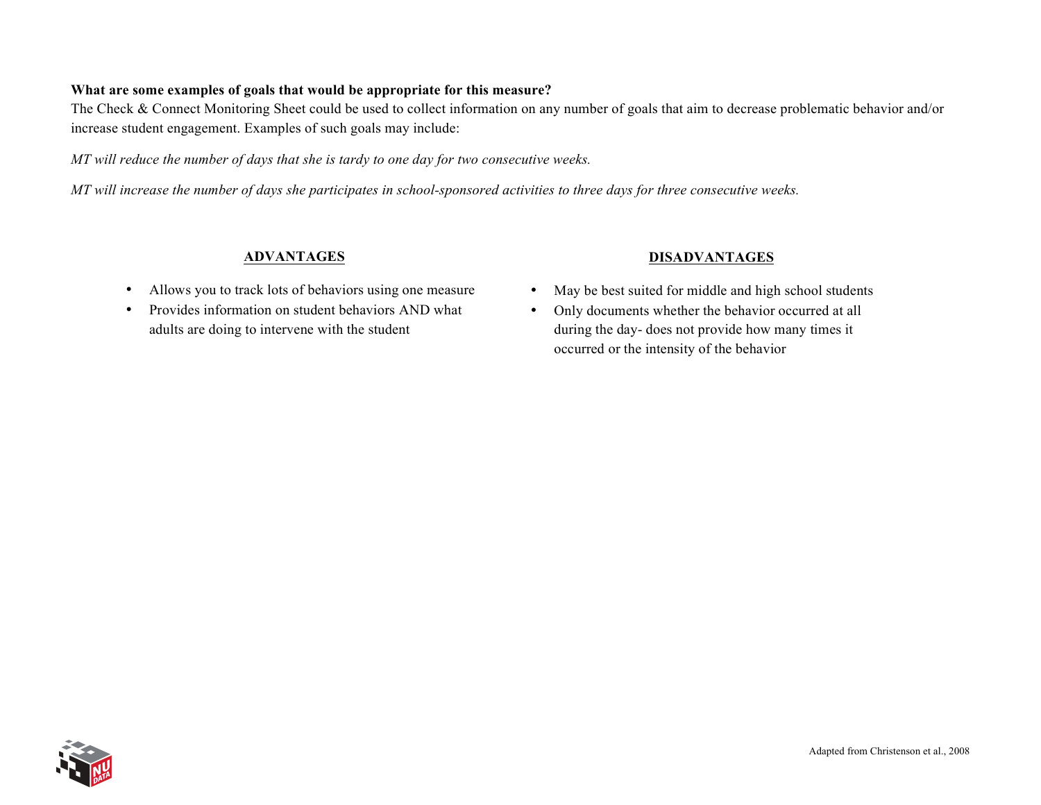#### **What are some examples of goals that would be appropriate for this measure?**

The Check & Connect Monitoring Sheet could be used to collect information on any number of goals that aim to decrease problematic behavior and/or increase student engagement. Examples of such goals may include:

*MT will reduce the number of days that she is tardy to one day for two consecutive weeks.*

*MT* will increase the number of days she participates in school-sponsored activities to three days for three consecutive weeks.

### **ADVANTAGES**

- Allows you to track lots of behaviors using one measure
- Provides information on student behaviors AND what adults are doing to intervene with the student

#### **DISADVANTAGES**

- May be best suited for middle and high school students
- Only documents whether the behavior occurred at all during the day- does not provide how many times it occurred or the intensity of the behavior

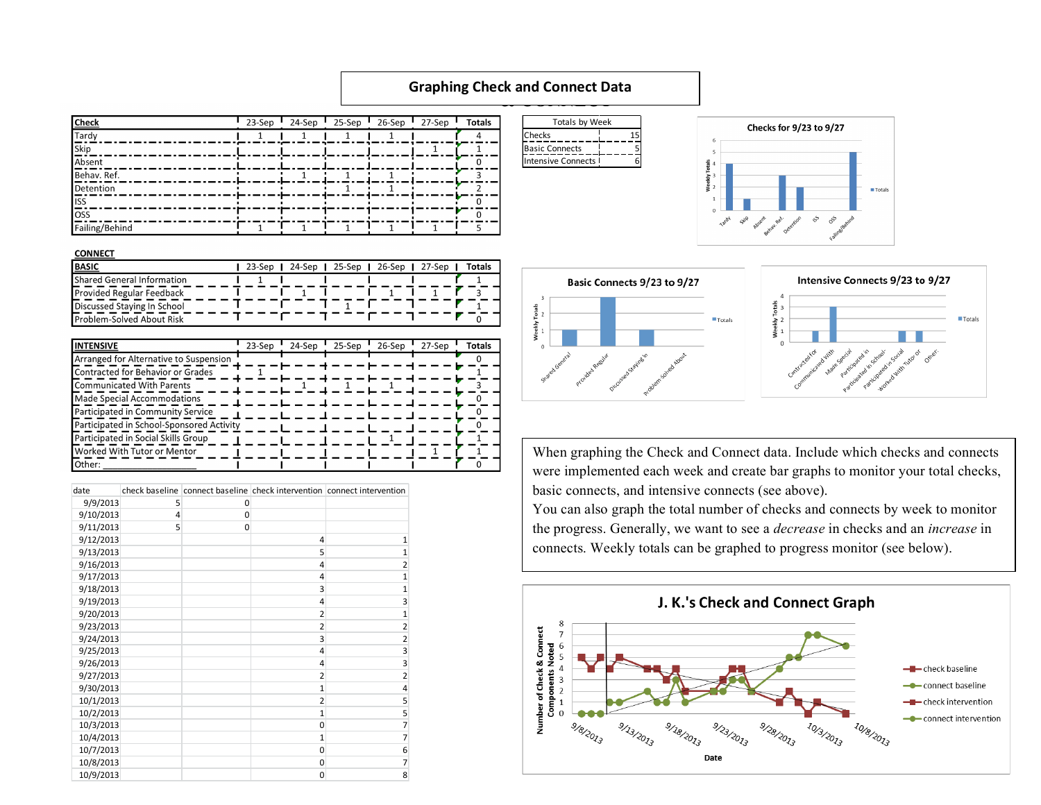#### **CHECK & CONNECT Graphing Check and Connect Data**

Weekly Totals

| <b>Check</b>   | 23-Sep | 24-Sep | $25-Sep$ | 26-Sep | 27-Sep | <b>Totals</b> |
|----------------|--------|--------|----------|--------|--------|---------------|
| Tardy          |        |        |          |        |        |               |
| Skip           |        |        |          |        |        |               |
| Absent         |        |        |          |        |        |               |
| Behav. Ref.    |        |        |          |        |        |               |
| Detention      |        |        |          |        |        |               |
| <b>I</b> ISS   |        |        |          |        |        |               |
| loss           |        |        |          |        |        | n             |
| Failing/Behind |        |        |          |        |        |               |





| ---------                   |  |  |  |                                            |  |        |
|-----------------------------|--|--|--|--------------------------------------------|--|--------|
| <b>BASIC</b>                |  |  |  | 23-Sep   24-Sep   25-Sep   26-Sep   27-Sep |  | Totals |
| Shared General Information  |  |  |  |                                            |  |        |
| Provided Regular Feedback   |  |  |  |                                            |  |        |
| Discussed Staying In School |  |  |  |                                            |  |        |
| Problem-Solved About Risk   |  |  |  |                                            |  |        |

| <b>INTENSIVE</b>                          | 23-Sep | 24-Sep | 25-Sep | 26-Sep | 27-Sep | Totals |
|-------------------------------------------|--------|--------|--------|--------|--------|--------|
| Arranged for Alternative to Suspension    |        |        |        |        |        |        |
| Contracted for Behavior or Grades         |        |        |        |        |        |        |
| <b>Communicated With Parents</b>          |        |        |        |        |        |        |
| Made Special Accommodations               |        |        |        |        |        |        |
| Participated in Community Service         |        |        |        |        |        |        |
| Participated in School-Sponsored Activity |        |        |        |        |        |        |
| Participated in Social Skills Group       |        |        |        |        |        |        |
| Worked With Tutor or Mentor               |        |        |        |        |        |        |
| Other:                                    |        |        |        |        |        |        |

| date      |   |             |                | check baseline connect baseline check intervention connect intervention |
|-----------|---|-------------|----------------|-------------------------------------------------------------------------|
| 9/9/2013  | 5 | 0           |                |                                                                         |
| 9/10/2013 | 4 | $\mathbf 0$ |                |                                                                         |
| 9/11/2013 | 5 | 0           |                |                                                                         |
| 9/12/2013 |   |             | 4              | 1                                                                       |
| 9/13/2013 |   |             | 5              | $\mathbf{1}$                                                            |
| 9/16/2013 |   |             | 4              | $\overline{2}$                                                          |
| 9/17/2013 |   |             | 4              | 1                                                                       |
| 9/18/2013 |   |             | 3              | $\overline{1}$                                                          |
| 9/19/2013 |   |             | 4              | 3                                                                       |
| 9/20/2013 |   |             | $\overline{2}$ | $\overline{1}$                                                          |
| 9/23/2013 |   |             | $\overline{2}$ | $\overline{2}$                                                          |
| 9/24/2013 |   |             | 3              | $\overline{2}$                                                          |
| 9/25/2013 |   |             | 4              | 3                                                                       |
| 9/26/2013 |   |             | 4              | 3                                                                       |
| 9/27/2013 |   |             | $\overline{2}$ | $\overline{2}$                                                          |
| 9/30/2013 |   |             | 1              | 4                                                                       |
| 10/1/2013 |   |             | $\overline{2}$ | 5                                                                       |
| 10/2/2013 |   |             | $\mathbf{1}$   | 5                                                                       |
| 10/3/2013 |   |             | 0              | $\overline{7}$                                                          |
| 10/4/2013 |   |             | $\mathbf{1}$   | $\overline{7}$                                                          |
| 10/7/2013 |   |             | 0              | 6                                                                       |
| 10/8/2013 |   |             | 0              | 7                                                                       |
| 10/9/2013 |   |             | 0              | 8                                                                       |





 $\blacksquare$  Totals

When graphing the Check and Connect data. Include which checks and connects were implemented each week and create bar graphs to monitor your total checks, basic connects, and intensive connects (see above).

You can also graph the total number of checks and connects by week to monitor the progress. Generally, we want to see a *decrease* in checks and an *increase* in connects. Weekly totals can be graphed to progress monitor (see below).